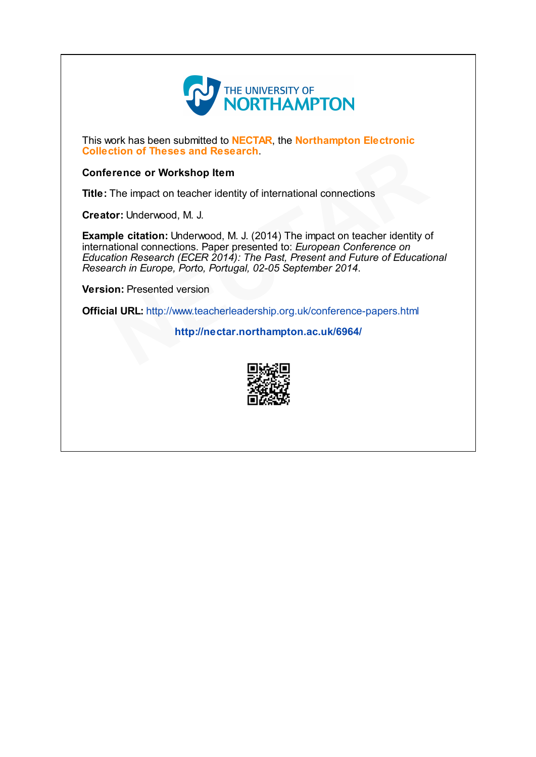

This work has been submitted to **NECTAR**, the **Northampton Electronic** Collection of Theses and Research.

# Conference or Workshop Item

Title: The impact on teacher identity of international connections

Creator: Underwood, M. J.

Example citation: Underwood, M. J. (2014) The impact on teacher identity of international connections. Paper presented to: European Conference on Education Research (ECER 2014): The Past, Present and Future of Educational Research in Europe, Porto, Portugal, 02-05 September 2014. crition of Theses and Research.<br>
The impact on teacher identity of international connections<br>
or: Underwood, M. J.<br>
ple citation: Underwood, M. J. (2014) The impact on teacher identity of<br>
ational connections. Paper presen

Version: Presented version

Official URL: http://www.teacherleadership.org.uk/conference-papers.html

http://nectar.northampton.ac.uk/6964/

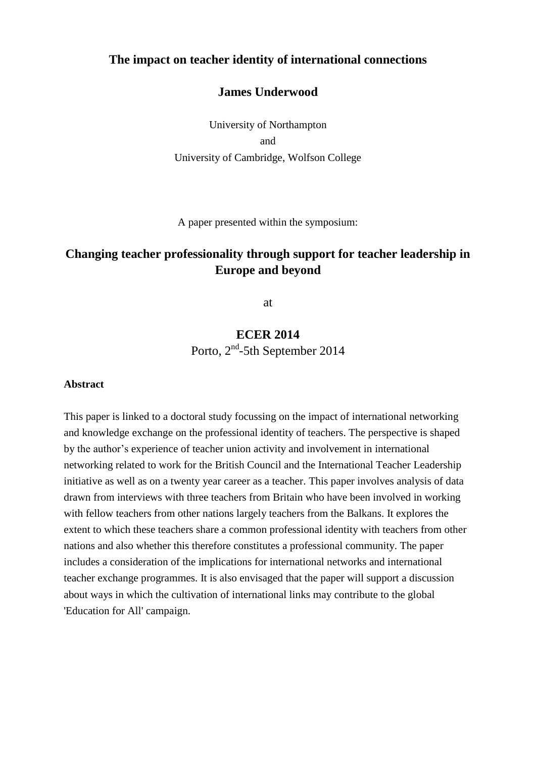# **The impact on teacher identity of international connections**

# **James Underwood**

University of Northampton and University of Cambridge, Wolfson College

A paper presented within the symposium:

# **Changing teacher professionality through support for teacher leadership in Europe and beyond**

at

# **ECER 2014** Porto, 2<sup>nd</sup>-5th September 2014

#### **Abstract**

This paper is linked to a doctoral study focussing on the impact of international networking and knowledge exchange on the professional identity of teachers. The perspective is shaped by the author's experience of teacher union activity and involvement in international networking related to work for the British Council and the International Teacher Leadership initiative as well as on a twenty year career as a teacher. This paper involves analysis of data drawn from interviews with three teachers from Britain who have been involved in working with fellow teachers from other nations largely teachers from the Balkans. It explores the extent to which these teachers share a common professional identity with teachers from other nations and also whether this therefore constitutes a professional community. The paper includes a consideration of the implications for international networks and international teacher exchange programmes. It is also envisaged that the paper will support a discussion about ways in which the cultivation of international links may contribute to the global 'Education for All' campaign.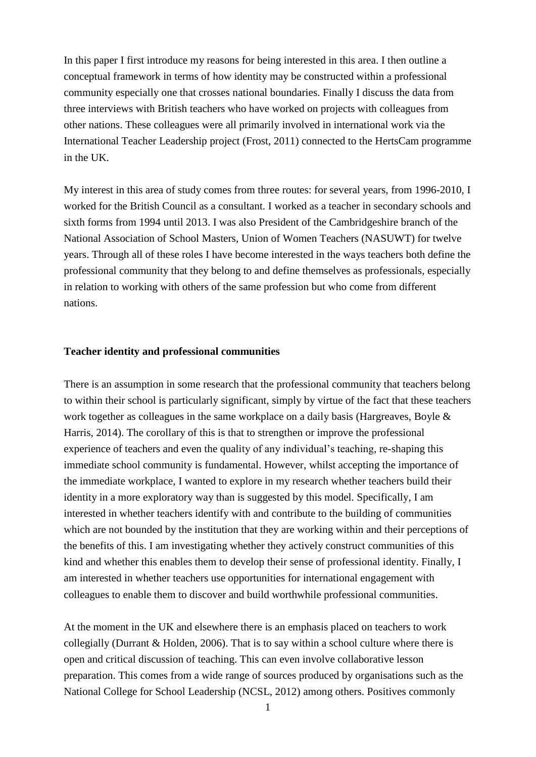In this paper I first introduce my reasons for being interested in this area. I then outline a conceptual framework in terms of how identity may be constructed within a professional community especially one that crosses national boundaries. Finally I discuss the data from three interviews with British teachers who have worked on projects with colleagues from other nations. These colleagues were all primarily involved in international work via the International Teacher Leadership project (Frost, 2011) connected to the HertsCam programme in the UK.

My interest in this area of study comes from three routes: for several years, from 1996-2010, I worked for the British Council as a consultant. I worked as a teacher in secondary schools and sixth forms from 1994 until 2013. I was also President of the Cambridgeshire branch of the National Association of School Masters, Union of Women Teachers (NASUWT) for twelve years. Through all of these roles I have become interested in the ways teachers both define the professional community that they belong to and define themselves as professionals, especially in relation to working with others of the same profession but who come from different nations.

# **Teacher identity and professional communities**

There is an assumption in some research that the professional community that teachers belong to within their school is particularly significant, simply by virtue of the fact that these teachers work together as colleagues in the same workplace on a daily basis (Hargreaves, Boyle & Harris, 2014). The corollary of this is that to strengthen or improve the professional experience of teachers and even the quality of any individual's teaching, re-shaping this immediate school community is fundamental. However, whilst accepting the importance of the immediate workplace, I wanted to explore in my research whether teachers build their identity in a more exploratory way than is suggested by this model. Specifically, I am interested in whether teachers identify with and contribute to the building of communities which are not bounded by the institution that they are working within and their perceptions of the benefits of this. I am investigating whether they actively construct communities of this kind and whether this enables them to develop their sense of professional identity. Finally, I am interested in whether teachers use opportunities for international engagement with colleagues to enable them to discover and build worthwhile professional communities.

At the moment in the UK and elsewhere there is an emphasis placed on teachers to work collegially (Durrant & Holden, 2006). That is to say within a school culture where there is open and critical discussion of teaching. This can even involve collaborative lesson preparation. This comes from a wide range of sources produced by organisations such as the National College for School Leadership (NCSL, 2012) among others. Positives commonly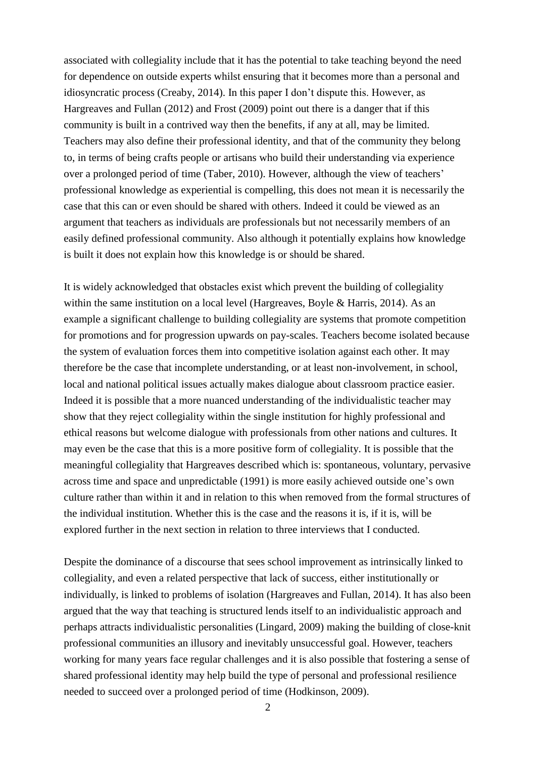associated with collegiality include that it has the potential to take teaching beyond the need for dependence on outside experts whilst ensuring that it becomes more than a personal and idiosyncratic process (Creaby, 2014). In this paper I don't dispute this. However, as Hargreaves and Fullan (2012) and Frost (2009) point out there is a danger that if this community is built in a contrived way then the benefits, if any at all, may be limited. Teachers may also define their professional identity, and that of the community they belong to, in terms of being crafts people or artisans who build their understanding via experience over a prolonged period of time (Taber, 2010). However, although the view of teachers' professional knowledge as experiential is compelling, this does not mean it is necessarily the case that this can or even should be shared with others. Indeed it could be viewed as an argument that teachers as individuals are professionals but not necessarily members of an easily defined professional community. Also although it potentially explains how knowledge is built it does not explain how this knowledge is or should be shared.

It is widely acknowledged that obstacles exist which prevent the building of collegiality within the same institution on a local level (Hargreaves, Boyle & Harris, 2014). As an example a significant challenge to building collegiality are systems that promote competition for promotions and for progression upwards on pay-scales. Teachers become isolated because the system of evaluation forces them into competitive isolation against each other. It may therefore be the case that incomplete understanding, or at least non-involvement, in school, local and national political issues actually makes dialogue about classroom practice easier. Indeed it is possible that a more nuanced understanding of the individualistic teacher may show that they reject collegiality within the single institution for highly professional and ethical reasons but welcome dialogue with professionals from other nations and cultures. It may even be the case that this is a more positive form of collegiality. It is possible that the meaningful collegiality that Hargreaves described which is: spontaneous, voluntary, pervasive across time and space and unpredictable (1991) is more easily achieved outside one's own culture rather than within it and in relation to this when removed from the formal structures of the individual institution. Whether this is the case and the reasons it is, if it is, will be explored further in the next section in relation to three interviews that I conducted.

Despite the dominance of a discourse that sees school improvement as intrinsically linked to collegiality, and even a related perspective that lack of success, either institutionally or individually, is linked to problems of isolation (Hargreaves and Fullan, 2014). It has also been argued that the way that teaching is structured lends itself to an individualistic approach and perhaps attracts individualistic personalities (Lingard, 2009) making the building of close-knit professional communities an illusory and inevitably unsuccessful goal. However, teachers working for many years face regular challenges and it is also possible that fostering a sense of shared professional identity may help build the type of personal and professional resilience needed to succeed over a prolonged period of time (Hodkinson, 2009).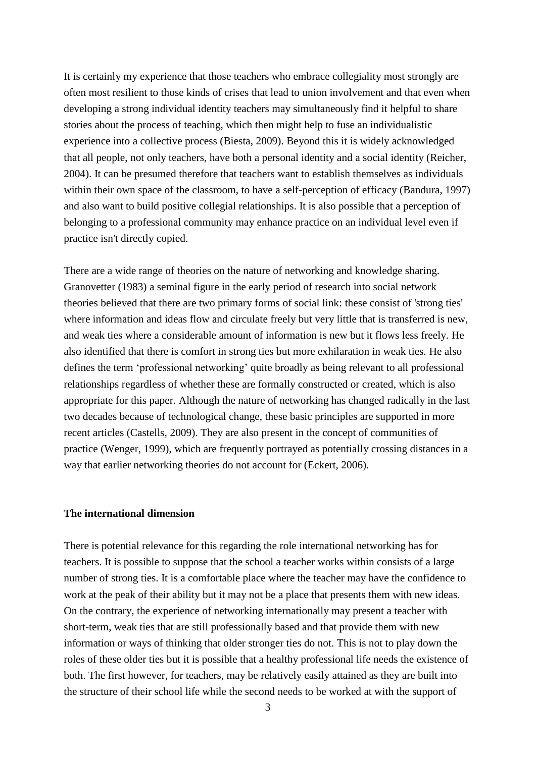It is certainly my experience that those teachers who embrace collegiality most strongly are often most resilient to those kinds of crises that lead to union involvement and that even when developing a strong individual identity teachers may simultaneously find it helpful to share stories about the process of teaching, which then might help to fuse an individualistic experience into a collective process (Biesta, 2009). Beyond this it is widely acknowledged that all people, not only teachers, have both a personal identity and a social identity (Reicher, 2004). It can be presumed therefore that teachers want to establish themselves as individuals within their own space of the classroom, to have a self-perception of efficacy (Bandura, 1997) and also want to build positive collegial relationships. It is also possible that a perception of belonging to a professional community may enhance practice on an individual level even if practice isn't directly copied.

There are a wide range of theories on the nature of networking and knowledge sharing. Granovetter (1983) a seminal figure in the early period of research into social network theories believed that there are two primary forms of social link: these consist of 'strong ties' where information and ideas flow and circulate freely but very little that is transferred is new, and weak ties where a considerable amount of information is new but it flows less freely. He also identified that there is comfort in strong ties but more exhilaration in weak ties. He also defines the term 'professional networking' quite broadly as being relevant to all professional relationships regardless of whether these are formally constructed or created, which is also appropriate for this paper. Although the nature of networking has changed radically in the last two decades because of technological change, these basic principles are supported in more recent articles (Castells, 2009). They are also present in the concept of communities of practice (Wenger, 1999), which are frequently portrayed as potentially crossing distances in a way that earlier networking theories do not account for (Eckert, 2006).

#### **The international dimension**

There is potential relevance for this regarding the role international networking has for teachers. It is possible to suppose that the school a teacher works within consists of a large number of strong ties. It is a comfortable place where the teacher may have the confidence to work at the peak of their ability but it may not be a place that presents them with new ideas. On the contrary, the experience of networking internationally may present a teacher with short-term, weak ties that are still professionally based and that provide them with new information or ways of thinking that older stronger ties do not. This is not to play down the roles of these older ties but it is possible that a healthy professional life needs the existence of both. The first however, for teachers, may be relatively easily attained as they are built into the structure of their school life while the second needs to be worked at with the support of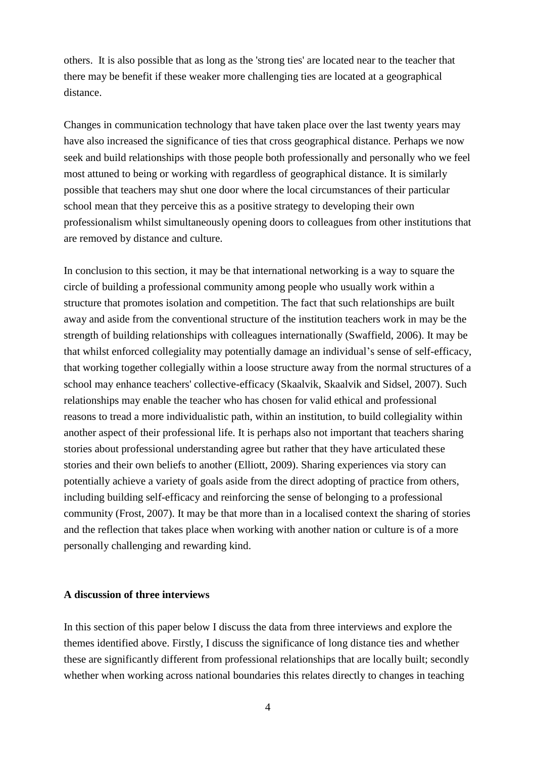others. It is also possible that as long as the 'strong ties' are located near to the teacher that there may be benefit if these weaker more challenging ties are located at a geographical distance.

Changes in communication technology that have taken place over the last twenty years may have also increased the significance of ties that cross geographical distance. Perhaps we now seek and build relationships with those people both professionally and personally who we feel most attuned to being or working with regardless of geographical distance. It is similarly possible that teachers may shut one door where the local circumstances of their particular school mean that they perceive this as a positive strategy to developing their own professionalism whilst simultaneously opening doors to colleagues from other institutions that are removed by distance and culture.

In conclusion to this section, it may be that international networking is a way to square the circle of building a professional community among people who usually work within a structure that promotes isolation and competition. The fact that such relationships are built away and aside from the conventional structure of the institution teachers work in may be the strength of building relationships with colleagues internationally (Swaffield, 2006). It may be that whilst enforced collegiality may potentially damage an individual's sense of self-efficacy, that working together collegially within a loose structure away from the normal structures of a school may enhance teachers' collective-efficacy (Skaalvik, Skaalvik and Sidsel, 2007). Such relationships may enable the teacher who has chosen for valid ethical and professional reasons to tread a more individualistic path, within an institution, to build collegiality within another aspect of their professional life. It is perhaps also not important that teachers sharing stories about professional understanding agree but rather that they have articulated these stories and their own beliefs to another (Elliott, 2009). Sharing experiences via story can potentially achieve a variety of goals aside from the direct adopting of practice from others, including building self-efficacy and reinforcing the sense of belonging to a professional community (Frost, 2007). It may be that more than in a localised context the sharing of stories and the reflection that takes place when working with another nation or culture is of a more personally challenging and rewarding kind.

## **A discussion of three interviews**

In this section of this paper below I discuss the data from three interviews and explore the themes identified above. Firstly, I discuss the significance of long distance ties and whether these are significantly different from professional relationships that are locally built; secondly whether when working across national boundaries this relates directly to changes in teaching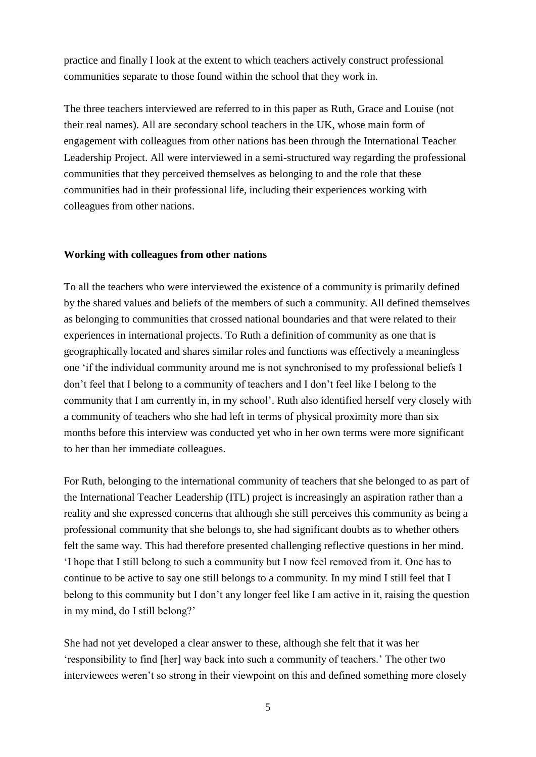practice and finally I look at the extent to which teachers actively construct professional communities separate to those found within the school that they work in.

The three teachers interviewed are referred to in this paper as Ruth, Grace and Louise (not their real names). All are secondary school teachers in the UK, whose main form of engagement with colleagues from other nations has been through the International Teacher Leadership Project. All were interviewed in a semi-structured way regarding the professional communities that they perceived themselves as belonging to and the role that these communities had in their professional life, including their experiences working with colleagues from other nations.

# **Working with colleagues from other nations**

To all the teachers who were interviewed the existence of a community is primarily defined by the shared values and beliefs of the members of such a community. All defined themselves as belonging to communities that crossed national boundaries and that were related to their experiences in international projects. To Ruth a definition of community as one that is geographically located and shares similar roles and functions was effectively a meaningless one 'if the individual community around me is not synchronised to my professional beliefs I don't feel that I belong to a community of teachers and I don't feel like I belong to the community that I am currently in, in my school'. Ruth also identified herself very closely with a community of teachers who she had left in terms of physical proximity more than six months before this interview was conducted yet who in her own terms were more significant to her than her immediate colleagues.

For Ruth, belonging to the international community of teachers that she belonged to as part of the International Teacher Leadership (ITL) project is increasingly an aspiration rather than a reality and she expressed concerns that although she still perceives this community as being a professional community that she belongs to, she had significant doubts as to whether others felt the same way. This had therefore presented challenging reflective questions in her mind. 'I hope that I still belong to such a community but I now feel removed from it. One has to continue to be active to say one still belongs to a community. In my mind I still feel that I belong to this community but I don't any longer feel like I am active in it, raising the question in my mind, do I still belong?'

She had not yet developed a clear answer to these, although she felt that it was her 'responsibility to find [her] way back into such a community of teachers.' The other two interviewees weren't so strong in their viewpoint on this and defined something more closely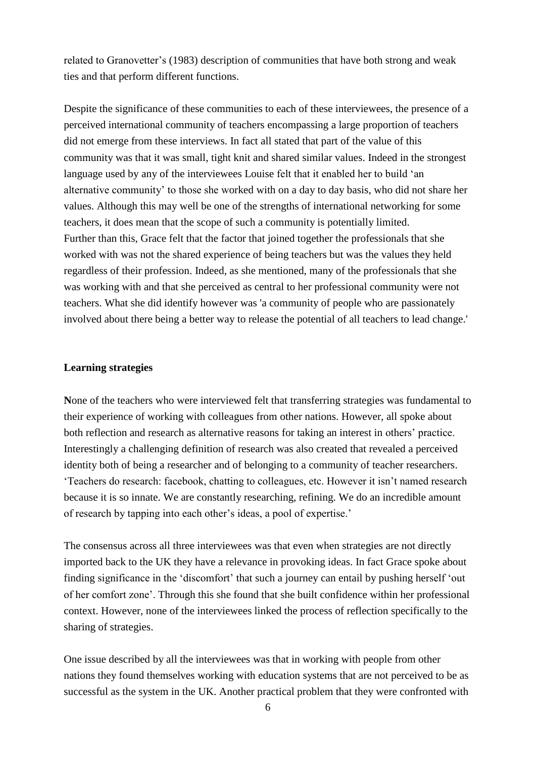related to Granovetter's (1983) description of communities that have both strong and weak ties and that perform different functions.

Despite the significance of these communities to each of these interviewees, the presence of a perceived international community of teachers encompassing a large proportion of teachers did not emerge from these interviews. In fact all stated that part of the value of this community was that it was small, tight knit and shared similar values. Indeed in the strongest language used by any of the interviewees Louise felt that it enabled her to build 'an alternative community' to those she worked with on a day to day basis, who did not share her values. Although this may well be one of the strengths of international networking for some teachers, it does mean that the scope of such a community is potentially limited. Further than this, Grace felt that the factor that joined together the professionals that she worked with was not the shared experience of being teachers but was the values they held regardless of their profession. Indeed, as she mentioned, many of the professionals that she was working with and that she perceived as central to her professional community were not teachers. What she did identify however was 'a community of people who are passionately involved about there being a better way to release the potential of all teachers to lead change.'

# **Learning strategies**

**N**one of the teachers who were interviewed felt that transferring strategies was fundamental to their experience of working with colleagues from other nations. However, all spoke about both reflection and research as alternative reasons for taking an interest in others' practice. Interestingly a challenging definition of research was also created that revealed a perceived identity both of being a researcher and of belonging to a community of teacher researchers. 'Teachers do research: facebook, chatting to colleagues, etc. However it isn't named research because it is so innate. We are constantly researching, refining. We do an incredible amount of research by tapping into each other's ideas, a pool of expertise.'

The consensus across all three interviewees was that even when strategies are not directly imported back to the UK they have a relevance in provoking ideas. In fact Grace spoke about finding significance in the 'discomfort' that such a journey can entail by pushing herself 'out of her comfort zone'. Through this she found that she built confidence within her professional context. However, none of the interviewees linked the process of reflection specifically to the sharing of strategies.

One issue described by all the interviewees was that in working with people from other nations they found themselves working with education systems that are not perceived to be as successful as the system in the UK. Another practical problem that they were confronted with

6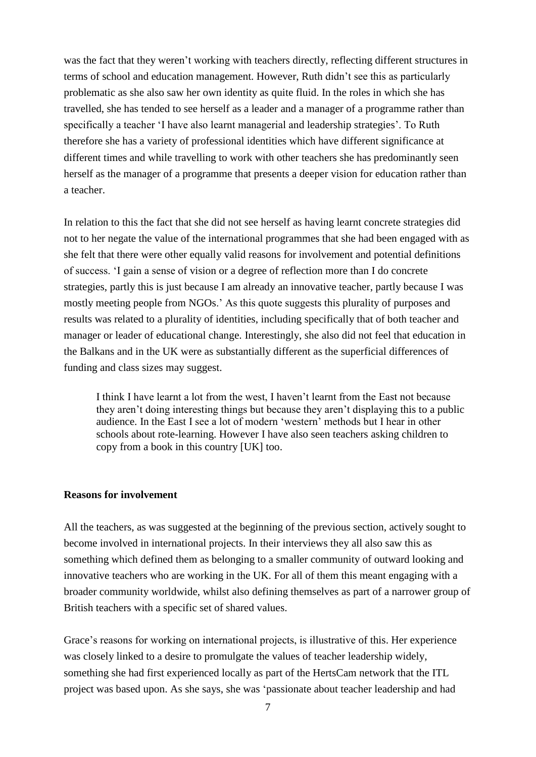was the fact that they weren't working with teachers directly, reflecting different structures in terms of school and education management. However, Ruth didn't see this as particularly problematic as she also saw her own identity as quite fluid. In the roles in which she has travelled, she has tended to see herself as a leader and a manager of a programme rather than specifically a teacher 'I have also learnt managerial and leadership strategies'. To Ruth therefore she has a variety of professional identities which have different significance at different times and while travelling to work with other teachers she has predominantly seen herself as the manager of a programme that presents a deeper vision for education rather than a teacher.

In relation to this the fact that she did not see herself as having learnt concrete strategies did not to her negate the value of the international programmes that she had been engaged with as she felt that there were other equally valid reasons for involvement and potential definitions of success. 'I gain a sense of vision or a degree of reflection more than I do concrete strategies, partly this is just because I am already an innovative teacher, partly because I was mostly meeting people from NGOs.' As this quote suggests this plurality of purposes and results was related to a plurality of identities, including specifically that of both teacher and manager or leader of educational change. Interestingly, she also did not feel that education in the Balkans and in the UK were as substantially different as the superficial differences of funding and class sizes may suggest.

I think I have learnt a lot from the west, I haven't learnt from the East not because they aren't doing interesting things but because they aren't displaying this to a public audience. In the East I see a lot of modern 'western' methods but I hear in other schools about rote-learning. However I have also seen teachers asking children to copy from a book in this country [UK] too.

#### **Reasons for involvement**

All the teachers, as was suggested at the beginning of the previous section, actively sought to become involved in international projects. In their interviews they all also saw this as something which defined them as belonging to a smaller community of outward looking and innovative teachers who are working in the UK. For all of them this meant engaging with a broader community worldwide, whilst also defining themselves as part of a narrower group of British teachers with a specific set of shared values.

Grace's reasons for working on international projects, is illustrative of this. Her experience was closely linked to a desire to promulgate the values of teacher leadership widely, something she had first experienced locally as part of the HertsCam network that the ITL project was based upon. As she says, she was 'passionate about teacher leadership and had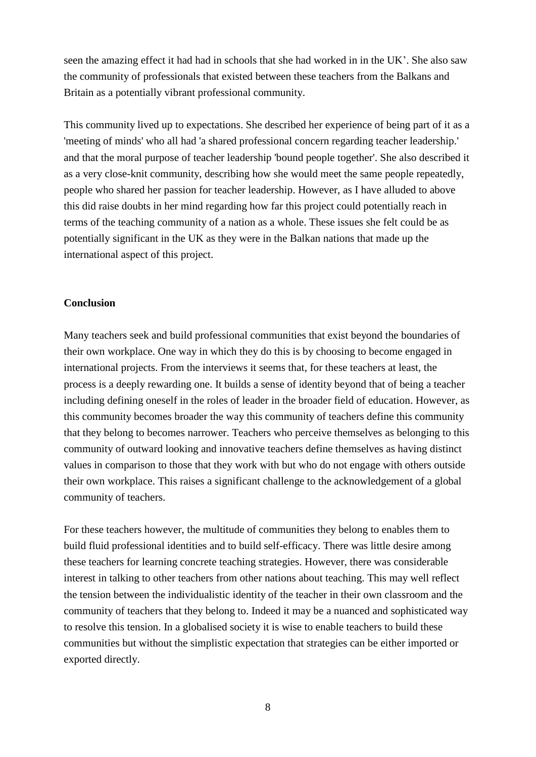seen the amazing effect it had had in schools that she had worked in in the UK'. She also saw the community of professionals that existed between these teachers from the Balkans and Britain as a potentially vibrant professional community.

This community lived up to expectations. She described her experience of being part of it as a 'meeting of minds' who all had 'a shared professional concern regarding teacher leadership.' and that the moral purpose of teacher leadership 'bound people together'. She also described it as a very close-knit community, describing how she would meet the same people repeatedly, people who shared her passion for teacher leadership. However, as I have alluded to above this did raise doubts in her mind regarding how far this project could potentially reach in terms of the teaching community of a nation as a whole. These issues she felt could be as potentially significant in the UK as they were in the Balkan nations that made up the international aspect of this project.

### **Conclusion**

Many teachers seek and build professional communities that exist beyond the boundaries of their own workplace. One way in which they do this is by choosing to become engaged in international projects. From the interviews it seems that, for these teachers at least, the process is a deeply rewarding one. It builds a sense of identity beyond that of being a teacher including defining oneself in the roles of leader in the broader field of education. However, as this community becomes broader the way this community of teachers define this community that they belong to becomes narrower. Teachers who perceive themselves as belonging to this community of outward looking and innovative teachers define themselves as having distinct values in comparison to those that they work with but who do not engage with others outside their own workplace. This raises a significant challenge to the acknowledgement of a global community of teachers.

For these teachers however, the multitude of communities they belong to enables them to build fluid professional identities and to build self-efficacy. There was little desire among these teachers for learning concrete teaching strategies. However, there was considerable interest in talking to other teachers from other nations about teaching. This may well reflect the tension between the individualistic identity of the teacher in their own classroom and the community of teachers that they belong to. Indeed it may be a nuanced and sophisticated way to resolve this tension. In a globalised society it is wise to enable teachers to build these communities but without the simplistic expectation that strategies can be either imported or exported directly.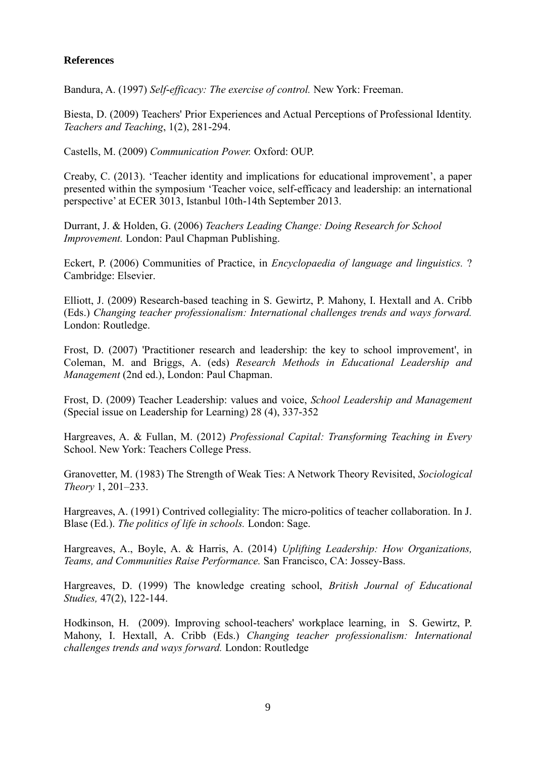# **References**

Bandura, A. (1997) *Self-efficacy: The exercise of control.* New York: Freeman.

Biesta, D. (2009) Teachers' Prior Experiences and Actual Perceptions of Professional Identity. *Teachers and Teaching*, 1(2), 281-294.

Castells, M. (2009) *Communication Power.* Oxford: OUP.

Creaby, C. (2013). 'Teacher identity and implications for educational improvement', a paper presented within the symposium 'Teacher voice, self-efficacy and leadership: an international perspective' at ECER 3013, Istanbul 10th-14th September 2013.

Durrant, J. & Holden, G. (2006) *Teachers Leading Change: Doing Research for School Improvement.* London: Paul Chapman Publishing.

Eckert, P. (2006) Communities of Practice, in *Encyclopaedia of language and linguistics.* ? Cambridge: Elsevier.

Elliott, J. (2009) Research-based teaching in S. Gewirtz, P. Mahony, I. Hextall and A. Cribb (Eds.) *Changing teacher professionalism: International challenges trends and ways forward.*  London: Routledge.

Frost, D. (2007) 'Practitioner research and leadership: the key to school improvement', in Coleman, M. and Briggs, A. (eds) *Research Methods in Educational Leadership and Management* (2nd ed.), London: Paul Chapman.

Frost, D. (2009) Teacher Leadership: values and voice, *School Leadership and Management* (Special issue on Leadership for Learning) 28 (4), 337-352

Hargreaves, A. & Fullan, M. (2012) *Professional Capital: Transforming Teaching in Every* School. New York: Teachers College Press.

Granovetter, M. (1983) The Strength of Weak Ties: A Network Theory Revisited, *Sociological Theory* 1, 201–233.

Hargreaves, A. (1991) Contrived collegiality: The micro-politics of teacher collaboration. In J. Blase (Ed.). *The politics of life in schools.* London: Sage.

Hargreaves, A., Boyle, A. & Harris, A. (2014) *Uplifting Leadership: How Organizations, Teams, and Communities Raise Performance.* San Francisco, CA: Jossey-Bass.

Hargreaves, D. (1999) The knowledge creating school, *British Journal of Educational Studies,* 47(2), 122-144.

Hodkinson, H. (2009). Improving school-teachers' workplace learning, in S. Gewirtz, P. Mahony, I. Hextall, A. Cribb (Eds.) *Changing teacher professionalism: International challenges trends and ways forward.* London: Routledge